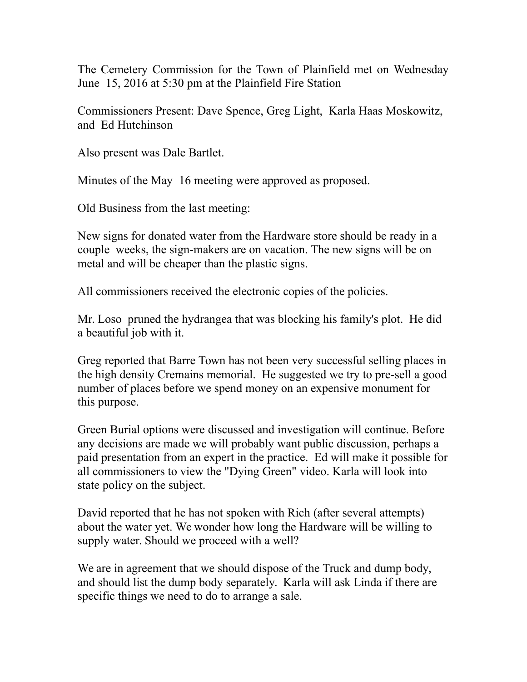The Cemetery Commission for the Town of Plainfield met on Wednesday June 15, 2016 at 5:30 pm at the Plainfield Fire Station

Commissioners Present: Dave Spence, Greg Light, Karla Haas Moskowitz, and Ed Hutchinson

Also present was Dale Bartlet.

Minutes of the May 16 meeting were approved as proposed.

Old Business from the last meeting:

New signs for donated water from the Hardware store should be ready in a couple weeks, the sign-makers are on vacation. The new signs will be on metal and will be cheaper than the plastic signs.

All commissioners received the electronic copies of the policies.

Mr. Loso pruned the hydrangea that was blocking his family's plot. He did a beautiful job with it.

Greg reported that Barre Town has not been very successful selling places in the high density Cremains memorial. He suggested we try to pre-sell a good number of places before we spend money on an expensive monument for this purpose.

Green Burial options were discussed and investigation will continue. Before any decisions are made we will probably want public discussion, perhaps a paid presentation from an expert in the practice. Ed will make it possible for all commissioners to view the "Dying Green" video. Karla will look into state policy on the subject.

David reported that he has not spoken with Rich (after several attempts) about the water yet. We wonder how long the Hardware will be willing to supply water. Should we proceed with a well?

We are in agreement that we should dispose of the Truck and dump body, and should list the dump body separately. Karla will ask Linda if there are specific things we need to do to arrange a sale.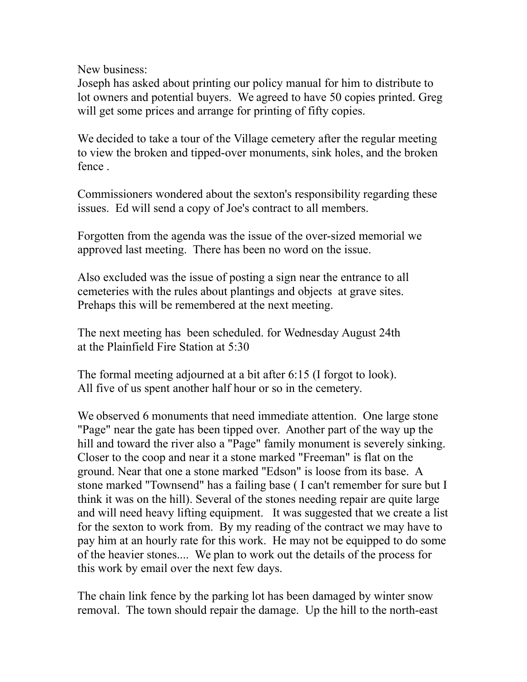New business:

Joseph has asked about printing our policy manual for him to distribute to lot owners and potential buyers. We agreed to have 50 copies printed. Greg will get some prices and arrange for printing of fifty copies.

We decided to take a tour of the Village cemetery after the regular meeting to view the broken and tipped-over monuments, sink holes, and the broken fence .

Commissioners wondered about the sexton's responsibility regarding these issues. Ed will send a copy of Joe's contract to all members.

Forgotten from the agenda was the issue of the over-sized memorial we approved last meeting. There has been no word on the issue.

Also excluded was the issue of posting a sign near the entrance to all cemeteries with the rules about plantings and objects at grave sites. Prehaps this will be remembered at the next meeting.

The next meeting has been scheduled. for Wednesday August 24th at the Plainfield Fire Station at 5:30

The formal meeting adjourned at a bit after 6:15 (I forgot to look). All five of us spent another half hour or so in the cemetery.

We observed 6 monuments that need immediate attention. One large stone "Page" near the gate has been tipped over. Another part of the way up the hill and toward the river also a "Page" family monument is severely sinking. Closer to the coop and near it a stone marked "Freeman" is flat on the ground. Near that one a stone marked "Edson" is loose from its base. A stone marked "Townsend" has a failing base ( I can't remember for sure but I think it was on the hill). Several of the stones needing repair are quite large and will need heavy lifting equipment. It was suggested that we create a list for the sexton to work from. By my reading of the contract we may have to pay him at an hourly rate for this work. He may not be equipped to do some of the heavier stones.... We plan to work out the details of the process for this work by email over the next few days.

The chain link fence by the parking lot has been damaged by winter snow removal. The town should repair the damage. Up the hill to the north-east